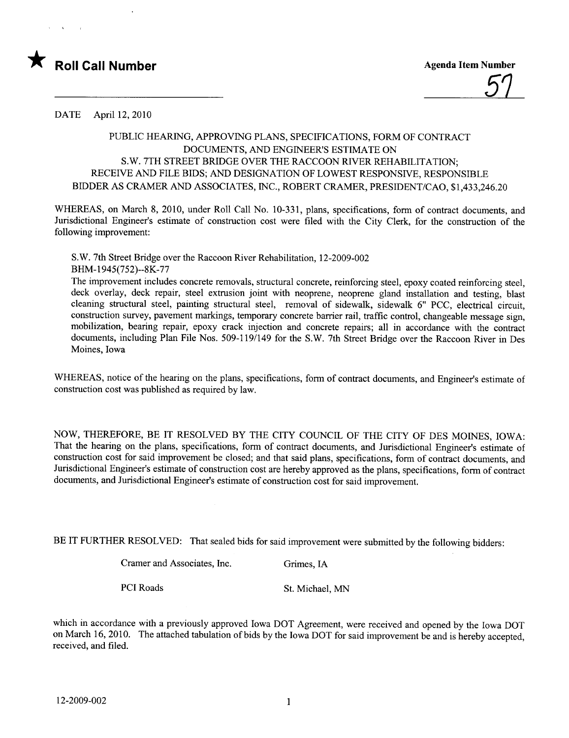

DATE April 12, 2010

## PUBLIC HEARING, APPROVING PLANS, SPECIFICATIONS, FORM OF CONTRACT DOCUMENTS, AND ENGINEER'S ESTIMATE ON S.W. 7TH STREET BRIDGE OVER THE RACCOON RIVER REHABILITATION; RECEIVE AND FILE BIDS; AND DESIGNATION OF LOWEST RESPONSIVE, RESPONSIBLE BIDDER AS CRAMER AND ASSOCIATES, INC., ROBERT CRAMER, PRESIDENT/CAO, \$1,433,246.20

WHEREAS, on March 8, 2010, under Roll Call No. 10-331, plans, specifications, form of contract documents, and Jurisdictional Engineer's estimate of construction cost were filed with the City Clerk, for the construction of the following improvement:

S.W. 7th Street Bridge over the Raccoon River Rehabilitation, 12-2009-002 BHM-1945(752)--8K-77

The improvement includes concrete removals, structural concrete, reinforcing steel, epoxy coated reinforcing steel. deck overlay, deck repair, steel extrusion joint with neoprene, neoprene gland installation and testing, blast cleaning structural steel, painting structural steel, removal of sidewalk, sidewalk 6" PCC, electrical circuit, construction survey, pavement markings, temporary concrete barrier rail, traffic control, changeable message sign, mobilization, bearng repair, epoxy crack injection and concrete repairs; all in accordance with the contract documents, including Plan File Nos. 509-119/149 for the S.W. 7th Street Bridge over the Raccoon River in Des Moines, Iowa

WHEREAS, notice of the hearing on the plans, specifications, form of contract documents, and Engineer's estimate of construction cost was published as required by law.

NOW, THEREFORE, BE IT RESOLVED BY THE CITY COUNCIL OF THE CITY OF DES MOINES, IOWA: That the hearing on the plans, specifications, form of contract documents, and Jurisdictional Engineer's estimate of construction cost for said improvement be closed; and that said plans, specifications, form of contract documents, and Jurisdictional Engineer's estimate of construction cost are hereby approved as the plans, specifications, form of contract documents, and Jurisdictional Engineer's estimate of construction cost for said improvement.

BE IT FURTHER RESOLVED: That sealed bids for said improvement were submitted by the following bidders:

Cramer and Associates, Inc. Grimes, IA

PCI Roads St. Michael, MN

which in accordance with a previously approved Iowa DOT Agreement, were received and opened by the Iowa DOT on March 16,2010. The attached tabulation of bids by the Iowa DOT for said improvement be and is hereby accepted, received, and filed.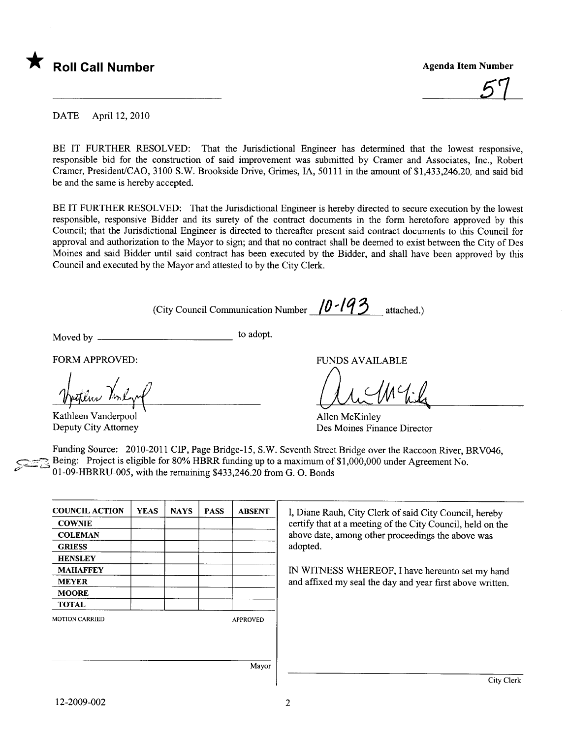

57

DATE April 12, 2010

BE IT FURTHER RESOLVED: That the Jurisdictional Engineer has determined that the lowest responsive, responsible bid for the construction of said improvement was submitted by Cramer and Associates, Inc., Robert Cramer, President/CAO, 3100 S.W. Brookside Drive, Grimes, lA, 50111 in the amount of \$1,433,246.20, and said bid be and the same is hereby accepted.

BE IT FURTHER RESOLVED: That the Jurisdictional Engineer is hereby directed to secure execution by the lowest responsible, responsive Bidder and its surety of the contract documents in the form heretofore approved by this Council; that the Jurisdictional Engineer is directed to thereafter present said contract documents to this Council for approval and authorization to the Mayor to sign; and that no contract shall be deemed to exist between the City of Des Moines and said Bidder until said contract has been executed by the Bidder, and shall have been approved by this Council and executed by the Mayor and attested to by the City Clerk.

(City Council Communication Number  $/0$  -193 attached.)

Moved by to adopt.

FORM APPROVED:

Kathleen Vanderpool Deputy City Attomey

FUNDS AVAILABLE

UL Mail

Allen McKinley Des Moines Finance Director

Funding Source: 2010-2011 CIP, Page Bridge-15, S.W. Seventh Street Bridge over the Raccoon River, BRV046, Being: Project is eligible for 80% HBRR funding up to a maximum of \$1,000,000 under Agreement No. ,: 01-09-HBRRU-005, with the remaining \$433,246.20 from G. O. Bonds

| <b>COUNCIL ACTION</b> | <b>YEAS</b> | <b>NAYS</b> | <b>PASS</b> | <b>ABSENT</b>   | I, Diane   |
|-----------------------|-------------|-------------|-------------|-----------------|------------|
| <b>COWNIE</b>         |             |             |             |                 | certify tl |
| <b>COLEMAN</b>        |             |             |             |                 | above da   |
| <b>GRIESS</b>         |             |             |             |                 | adopted.   |
| <b>HENSLEY</b>        |             |             |             |                 |            |
| <b>MAHAFFEY</b>       |             |             |             |                 | IN WIT     |
| <b>MEYER</b>          |             |             |             |                 | and affix  |
| <b>MOORE</b>          |             |             |             |                 |            |
| <b>TOTAL</b>          |             |             |             |                 |            |
| <b>MOTION CARRIED</b> |             |             |             | <b>APPROVED</b> |            |
|                       |             |             |             |                 |            |
|                       |             |             |             |                 |            |
|                       |             |             |             | Mayor           |            |

I, Diane Rauh, City Clerk of said City Council, hereby certify that at a meeting of the City Council, held on the above date, among other proceedings the above was

IN WITNESS WHEREOF, I have hereunto set my hand and affixed my seal the day and year first above written.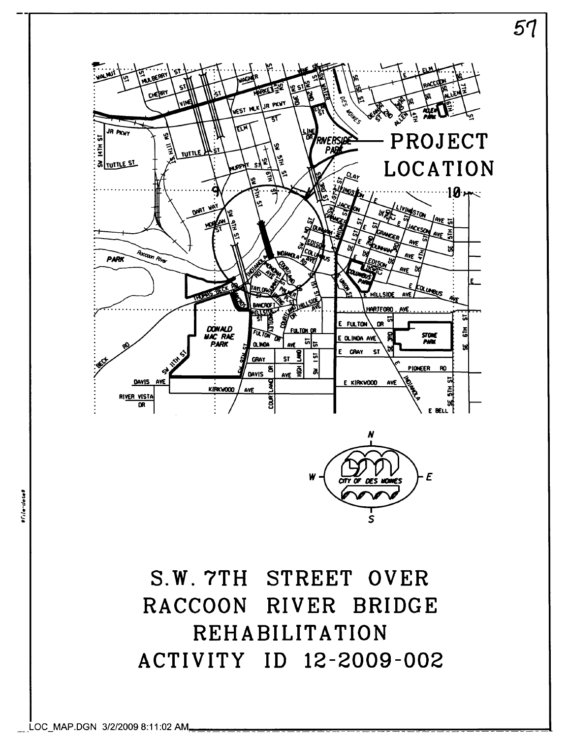



ACTIVITY ID 12-2009-002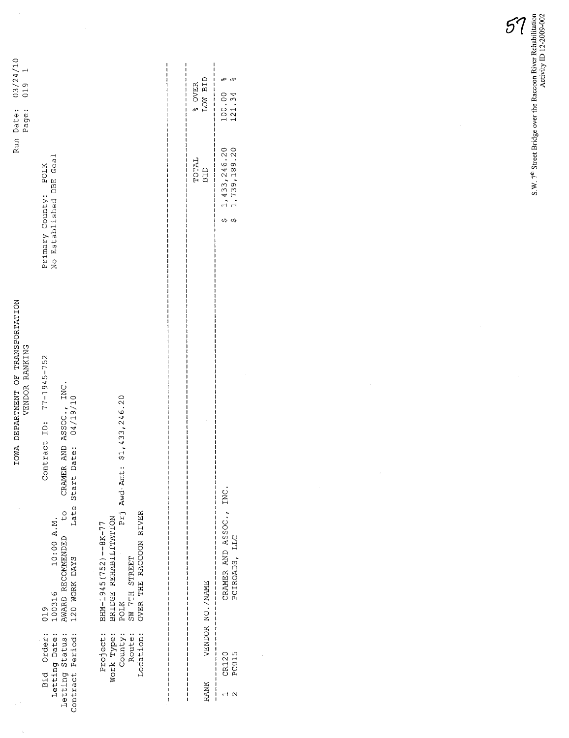|                                                                       |                                                                                                  | IOWA DEPARTMENT OF TRANSPORTATION<br>VENDOR RANKING                                        | Run                                                | $03/24/10$<br>019 1<br>Date:<br>Page: |
|-----------------------------------------------------------------------|--------------------------------------------------------------------------------------------------|--------------------------------------------------------------------------------------------|----------------------------------------------------|---------------------------------------|
| Order:<br>Contract Period:<br>Letting Date:<br>Letting Status:<br>Bid | Late<br>$\overline{c}$<br>10:00 A.M.<br>AWARD RECOMMENDED<br>120 WORK DAYS<br>100316<br>019      | Contract ID: 77-1945-752<br>CRAMER AND ASSOC., INC.<br>Start Date: 04/19/10<br>Start Date: | No Established DBE Goal<br>POLK<br>Primary County: |                                       |
| Project:<br>Location:<br>Work Type:<br>County:<br>Route:              | OVER THE RACCOON RIVER<br>BRIDGE REHABILITATION<br>BHM-1945(752)--8K-77<br>SW 7TH STREET<br>POLK | \$1,433,246.20<br>Prj Awd Amt:                                                             |                                                    |                                       |
|                                                                       |                                                                                                  |                                                                                            | TOTAL<br>BID                                       | LOW BID<br>% OVER                     |
| <b>RANK</b>                                                           | VENDOR NO. / NAME                                                                                |                                                                                            |                                                    | $\frac{1}{1}$                         |
| CR120<br>PC015<br>$\overline{u}$ $\alpha$                             | CRAMER AND ASSOC., INC.<br>PCIROADS, LLC                                                         |                                                                                            | 1,433,246.20<br>1,739,189.20<br>$\sigma$ $\sigma$  | QQ<br>olo<br>100.00<br>121.34         |
|                                                                       |                                                                                                  |                                                                                            |                                                    |                                       |
|                                                                       |                                                                                                  |                                                                                            |                                                    |                                       |
|                                                                       |                                                                                                  |                                                                                            |                                                    |                                       |

 $\frac{1}{\beta}$ 

 $\ddot{\phantom{0}}$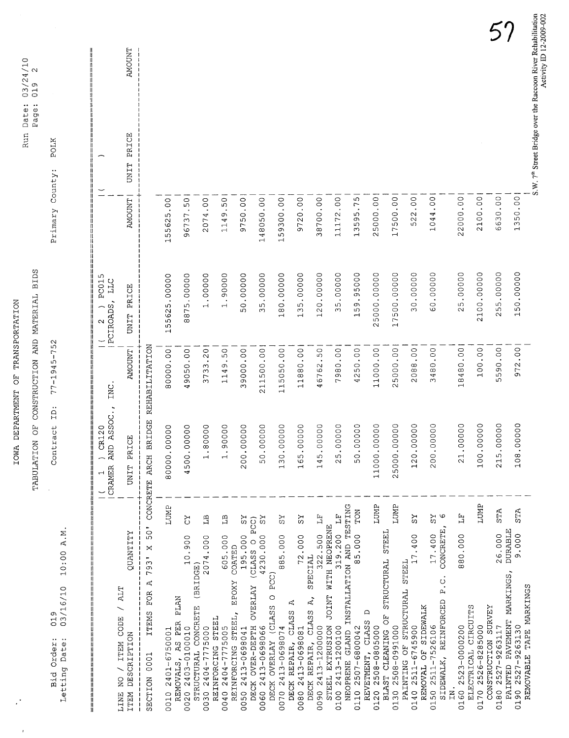| A.M<br>10:00<br>03/16/10<br>019<br>Bid Order:<br>Letting Date:                                                                 | $\overline{1}$<br>Contract                                  | $77 - 1945 - 752$ |                                    | Primary County: | POLK                 |               |
|--------------------------------------------------------------------------------------------------------------------------------|-------------------------------------------------------------|-------------------|------------------------------------|-----------------|----------------------|---------------|
|                                                                                                                                |                                                             |                   |                                    |                 |                      |               |
|                                                                                                                                | SOC.<br>CR120<br>CRAMER AND AS.<br>$\overline{\phantom{0}}$ | INC               | PC015<br>LLC<br>PCIROADS<br>$\sim$ |                 |                      |               |
| <b>CUANTITY</b><br><b>ALT</b><br>ITEM CODE<br>DESCRIPTION<br>$\overline{a}$<br><b>TTEM</b><br>LINE                             | PRICE<br><b>UNIT</b>                                        | <b>TNUOUNT</b>    | PRICE<br><b>UNIT</b>               | <b>AMOUNT</b>   | PRICE<br><b>UNIT</b> | <b>AMOUNT</b> |
| 93' X<br>$\overline{r}$<br>Ą<br><b>FOR</b><br><b>ITEMS</b><br>SECTION 0001                                                     | 50' CONCRETE ARCH BRIDGE                                    | REHABILITATION    |                                    |                 |                      |               |
| LUMP<br>2401-6750001<br>0010                                                                                                   | 80000.00000                                                 | 800000.00         | 155625.00000                       | 155625.00       |                      |               |
| č<br>10.900<br><b>PLAN</b><br>AS PER<br>0020 2403-0100010<br>REMOVALS,                                                         | 4500.00000                                                  | 49050.00          | 8875.00000                         | .50<br>96737    |                      |               |
| <b>AL</b><br>2074.000<br>CONCRETE (BRIDGE)<br>0030 2404-7775000<br>STRUCTURAL                                                  | 1.80000                                                     | 3733.20           | 1.00000                            | 2074.00         |                      |               |
| ДB<br>605.000<br>REINFORCING STEEL<br>2404-7775005<br>REINFORCING<br>0040                                                      | 1.90000                                                     | 1149.50           | 1.90000                            | 1149.50         |                      |               |
| ΣS<br>195.000<br>COATED<br><b>EPOXY</b><br>STEEL,<br>0050 2413-0698041                                                         | 200.00000                                                   | 39000.00          | 50.00000                           | 9750.00         |                      |               |
| ΣS<br>PCC)<br>4230.000<br>$\circ$<br>(CLASS<br><b>OVERLAY</b><br>DECK OVER-DEPTH<br>0060 2413-0698066                          | 50.00000                                                    | 211500.00         | 35.00000                           | 148050.00       |                      |               |
| ΣS<br>885.000<br>PCC)<br>(CLASS O<br>0070 2413-0698074<br>DECK OVERLAY                                                         | 130.00000                                                   | 115050.00         | 180.00000                          | 159300.00       |                      |               |
| ΣS<br>72.000<br>A,<br>CLASS<br>0080 2413-0698081<br>DECK REPAIR,                                                               | 165.00000                                                   | 11880.00          | 135.00000                          | 9720.00         |                      |               |
| 더<br>322.500<br>SPECIAL<br>$\vec{A}$<br>CLASS<br>2413-1200000<br>DECK REPAIR,<br>0090                                          | 145.00000                                                   | 46762.50          | 120.00000                          | 38700.00        |                      |               |
| $F_1$<br>WITH NEOPRENE<br>319.200<br><b>JOINT</b><br>STEEL EXTRUSION<br>0100 2413-1200100                                      | 25.00000                                                    | 7980.00           | 35.00000                           | 11172.00        |                      |               |
| NEOPRENE GLAND INSTALLATION AND TESTING<br>TON<br>85.000<br>2507-6800042<br>0110                                               | 50.00000                                                    | 4250.00           | 159.95000                          | 13595.75        |                      |               |
| LUMP<br>$\Box$<br>REVETMENT, CLASS<br>20 2508-0805000<br>0120                                                                  | $\circ$<br>11000.0000                                       | 11000.00          | 5000.00000<br>$\sim$               | 25000.00        |                      |               |
| <b>LUMP</b><br>STRUCTURAL STEEL<br>BLAST CLEANING OF<br>2508-0991000<br>0130                                                   | 25000.00000                                                 | 25000.00          | 17500.00000                        | 17500.00        |                      |               |
| $\chi$ S<br>.400<br>17<br>STEEL<br>STRUCTURAL<br>0140 2511-6745900<br>50<br>PAINTING                                           | $\circ$<br>120.0000                                         | 2088.00           | 30.00000                           | 522.00          |                      |               |
| ΣS<br>$\omega$<br>CONCRETE,<br>17.400<br>P. C.<br>REINFORCED<br>SIDEWALK<br>2511-7526106<br>E)<br>SIDEWALK,<br>REMOVAL<br>0150 | $\circ$<br>200.0000                                         | 3480.00           | 60.00000                           | 1044.00         |                      |               |
| 더<br>880.000<br>2523-0000200<br>IN.<br>0160                                                                                    | $\circ$<br>21.0000                                          | 18480.00          | 25.00000                           | 22000.00        |                      |               |
| <b>LUMP</b><br>ELECTRICAL CIRCUITS<br><b>SURVEY</b><br>0170 2526-8285000<br>CONSTRUCTION                                       | $\circ$<br>100.0000                                         | 100.00            | 2100.00000                         | 2100.00         |                      |               |
| <b>STA</b><br>26.000<br>2527-9263117<br>0180                                                                                   | $\circ$<br>215.0000                                         | 5590.00           | 255.00000                          | 6630.00         |                      |               |
| <b>STA</b><br><b>DURABLE</b><br>9.000<br>MARKINGS,<br>REMOVABLE TAPE MARKINGS<br>PAVEMENT<br>2527-9263130<br>PAINTED<br>0190   | $\circ$<br>108.0000                                         | 972.00            | 150.00000                          | 1350.00         |                      |               |

IOWA DEPARTMENT OF TRANSPORTATION IOWA DEPARTMENT OF TRANSPORTATION

 $\mathbb{R}^3$ 

 $\bar{1}$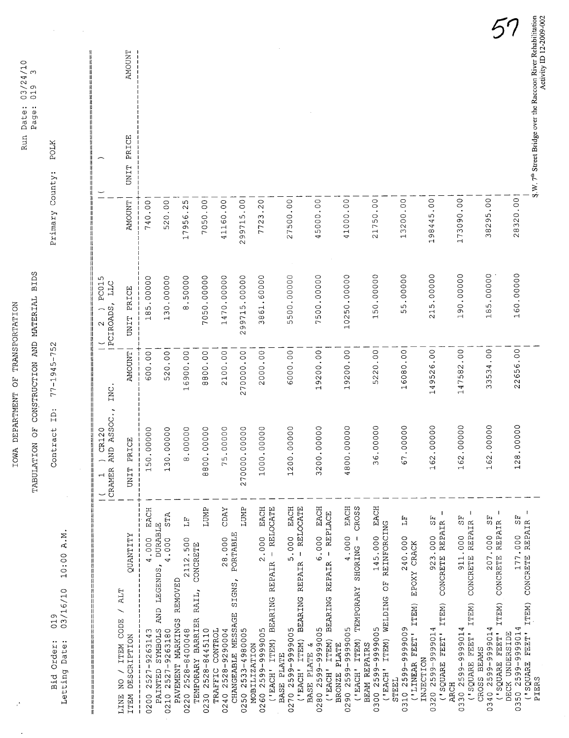| $\ddot{a}$<br>AND ASSOC.,<br>128.00000<br>162.00000<br>162.00000<br>$\circ$<br>$\circ$<br>$\circ$<br>TABULATION OF<br>1200.00000<br>$\circ$<br>$\circ$<br>270000.00000<br>$\circ$<br>8.00000<br>8800.00000<br>75.00000<br>Contract<br>130.00000<br>150.00000<br>1000.0000<br>3200.0000<br>4800.0000<br>36.0000<br>67.0000<br>162.0000<br>CR12<br>PRICE<br>$\overline{ }$<br>UNIT<br>CRAMER<br>$\overline{\phantom{0}}$<br>EACH<br>EACH<br>CROSS<br>EACH<br>LUMP<br>EACH<br>EACH<br>LUMP<br><b>CDAY</b><br>- RELOCATE<br>- RELOCATE<br>EACH<br>REPLACE<br><b>STA</b><br>SE<br>$\mathsf{SE}$<br>E)<br>C)<br>FЗ<br>$\mathbb{H}$<br>白<br>REPAIR<br>ITEM) CONCRETE REPAIR<br>REPAIR<br><b>DURABLE</b><br>A.M.<br>PORTABLE<br>177.000<br>207.000<br>911.000<br>5.000<br>6.000<br>145.000<br>923.000<br>4.000<br>240.000<br>2.000<br>28.000<br>4.000<br>4.000<br>CONCRETE<br>$\bar{\mathbf{I}}$<br>AND LEGENDS, | S<br>019<br>Page:<br><b>BIDS</b><br>MATERIAL<br>AND<br>CONSTRUCTION | POLK<br>County:<br>Primary<br>$77 - 1945 - 752$ | PC015<br><b>LLC</b><br>PCIROADS<br>$\sim$<br>INC | <b>AMOUNT</b><br>PRICE<br>UNIT<br><b>AMOUNT</b><br>UNIT PRICE<br>THUONA | 740.00<br>185.00000<br>600.00 | 520.00<br>130.00000<br>520.00 | 17956.25<br>8.50000<br>16900.00 | 7050.00<br>7050.00000<br>8800.00 | 41160.00<br>1470.00000<br>2100.00 | 299715.00<br>99715.00000<br>$\sim$<br>270000.00 | .20<br>7723<br>3861.60000<br>2000.00 | 27500.00<br>5500.000000<br>6000.00 | 45000.00<br>7500.00000<br>19200.00 | 41000.00<br>10250.00000<br>19200.00 | 21750.00<br>150.00000<br>5220.00 | 13200.00<br>55.00000<br>16080.00 | 198445.00<br>215.00000<br>149526.00 | 173090.00<br>190.00000<br>147582.00 | 38295.00<br>185.00000<br>33534.00 | 28320.00<br>160.00000<br>22656.00 |
|----------------------------------------------------------------------------------------------------------------------------------------------------------------------------------------------------------------------------------------------------------------------------------------------------------------------------------------------------------------------------------------------------------------------------------------------------------------------------------------------------------------------------------------------------------------------------------------------------------------------------------------------------------------------------------------------------------------------------------------------------------------------------------------------------------------------------------------------------------------------------------------------------------|---------------------------------------------------------------------|-------------------------------------------------|--------------------------------------------------|-------------------------------------------------------------------------|-------------------------------|-------------------------------|---------------------------------|----------------------------------|-----------------------------------|-------------------------------------------------|--------------------------------------|------------------------------------|------------------------------------|-------------------------------------|----------------------------------|----------------------------------|-------------------------------------|-------------------------------------|-----------------------------------|-----------------------------------|
|                                                                                                                                                                                                                                                                                                                                                                                                                                                                                                                                                                                                                                                                                                                                                                                                                                                                                                          |                                                                     | 10:00                                           |                                                  | <b>ZUTTTTTY</b>                                                         |                               |                               | 2112.500                        |                                  |                                   |                                                 | REPAIR                               | REPAIR                             | REPAIR                             | SHORING -                           | REINFORCING                      | EPOXY CRACK                      | CONCRETE REPAIR                     | CONCRETE                            | CONCRETE                          |                                   |

IOWA DEPARTMENT OF TRANSPORTATION IOWA DEPARTMENT OF TRANSPORTATION

 $\ddot{\cdot}$ 

 $\ddot{\phantom{0}}$ 

Run Date: 03/24/10 Run Date: 03/24/10